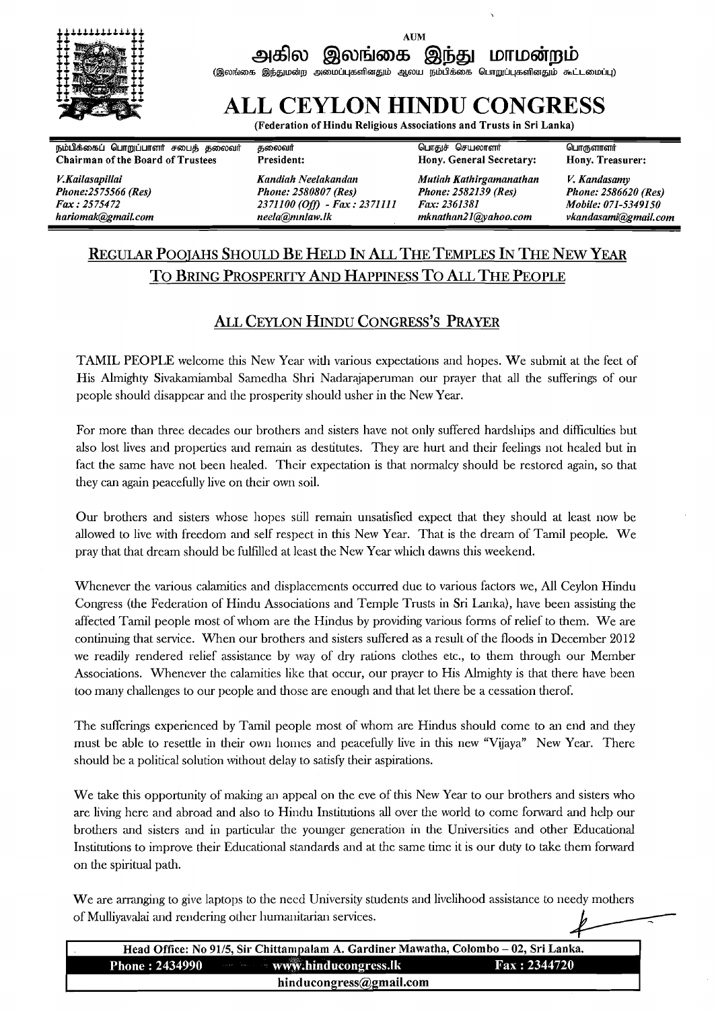

# **AUM**

**ad61su @mhmai @\$a** ~rrloairplb **(@m&mt6 @@,aw&p~ simwuqffi6Tnm~LLI amw ~lbllilci;aocs 6lurrgllirq&dmaw ~ni~aowljq)** 

## **ALL CEYLON HINDU CONGRESS**

**(Federation of Hindu Religious Associations and Trusts in Sri Lanka)** 

**plbdsao~u 6lur~lrirurmri emu5 ~mmari 5mmari QurraB Qeumrmri 6lurgmrmri Chairman of the Board of Trustees** 

**KKailasapillai Phone:25 75566 (Res) Fax** : **25 754 72** 

**Kandiah Neelakartdan Mutiah Kathirgamanathan K Kandasamy Phorte: 2580807 (Res) Phone: 2582139 (Res) Phone: 2586620 (Res) <sup>2371100</sup>***(Off)* - **Fa** : **2371111 Fa: 2361381 Mobile: 071-5349150 hariomak@gmail.com hariomagneta@~~**neela@mnlaw.lk mknathan21@vahoo.com hariomagneta

### REGULAR POOJAHS SHOULD BE HELD IN **ALL** THE TEMPLES IN THE NEW YEAR TO BRING PROSPERITY AND HAPPINESS TO ALL THE PEOPLE

### ALL CEYLON HINDU CONGRESS'S PRAYER

TAMIL PEOPLE welcome this New Year with various expectations and hopes. We submit at the feet of His Almighty Sivakamiambal Samedha Shri Nadarajaperuman our prayer that all the sufferings of our people should disappear and he prosperity should usher in the New Year.

For more than three decades our brothers and sisters have not only suffered hardships and difficulties but also lost lives and properties and remain as destitutes. They are hurt and their feelings not healed but in fact the same have not been healed. Their expectation is that normalcy should be restored again, so that they can again peacefully live on their own soil.

Our brothers and sisters whose hopes still remain unsatisfied expect that they should at least now be allowed to live with freedom and self respect in this New Year. That is the dream of Tamil people. We pray that that dream should be fulfilled at least the New Year which dawns this weekend.

Whenever the various calamities and displacements occurred due to various factors we, All Ceylon Hindu Congress (he Federation of Hindu Associations and Temple Trusts in Sri Lanka), have been assisting the affected Tamil people most of whom are the Hindus by providing various forms of relief to them. We are continuing that service. When our brothers and sisters suffered as a result of the floods in December 2012 we readily rendered relief assistance by way of dry rations clothes etc., to them through our Member Associations. Whenever the calamities like that occur, our prayer to His Almighty is that there have been too many challenges to our people and those are enough and that let there be a cessation therof.

The sufferings experienced by Tamil people most of whom are Hindus should come to an end and they must be able to resettle in heir own homes and peacefully live in this new "Vijaya" New Year. There should be a political solution wihout delay to satisfy their aspirations.

We take this opportunity of making an appeal on the eve of this New Year to our brothers and sisters who are living here and abroad and also to Hindu Institutions all over the world to come forward and help our brothers and sisters and in particular the younger generation in he Universities and other Educational Institutions to improve their Educational standards and at the same time it is our duty to take them forward on the spiritual path.

We are arranging to give laptops to the need University students and livelihood assistance to needy mothers of Mulliyavalai and rendering other humanitarian services.

| Head Office: No 91/5, Sir Chittampalam A. Gardiner Mawatha, Colombo – 02, Sri Lanka. |                       |  |
|--------------------------------------------------------------------------------------|-----------------------|--|
| Phone: 2434990 www.hinducongress.lk                                                  | $\Gamma$ ax : 2344720 |  |
| hinducongress@gmail.com                                                              |                       |  |